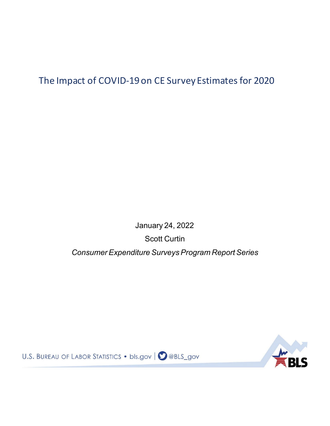The Impact of COVID-19 on CE Survey Estimates for 2020

January 24, 2022 Scott Curtin *Consumer Expenditure Surveys Program Report Series*



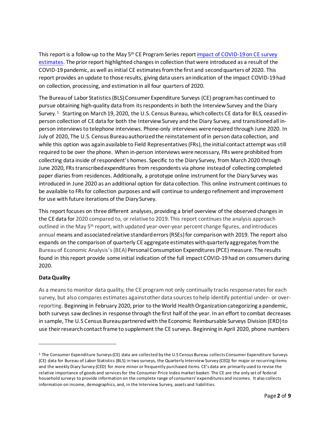This report is a follow-up to the May 5<sup>th</sup> CE Program Series report impact of COVID-19 on CE survey [estimates.](https://www.bls.gov/cex/research_papers/pdf/impact-of-covid-19-on-ce-survey-estimates.pdf) The prior report highlighted changes in collection that were introduced as a result of the COVID-19 pandemic, as well as initial CE estimates from the first and second quarters of 2020. This report provides an update to those results, giving data users an indication of the impact COVID-19 had on collection, processing, and estimation in all four quarters of 2020.

The Bureau of Labor Statistics (BLS) Consumer Expenditure Surveys (CE) programhas continued to pursue obtaining high-quality data from its respondentsin both the Interview Survey and the Diary Survey.<sup>[1](#page-1-0).</sup> Starting on March 19, 2020, the U.S. Census Bureau, which collects CE data for BLS, ceased inperson collection of CE data for both the Interview Survey and the Diary Survey, and transitionedall inperson interviews to telephone interviews. Phone-only interviews were required through June 2020. In July of 2020, The U.S. Census Bureau authorized the reinstatement of in person data collection, and while this option was again available to Field Representatives (FRs), the initial contact attempt was still required to be over the phone. When in-person interviews were necessary, FRs were prohibited from collecting data inside of respondent's homes. Specific to the Diary Survey, from March 2020 through June 2020, FRs transcribedexpenditures from respondents via phone instead of collecting completed paper diaries from residences. Additionally, a prototype online instrument for the Diary Survey was introduced in June 2020 as an additional option for data collection. This online instrument continues to be available to FRs for collection purposes and will continue to undergo refinement and improvement for use with future iterations of the Diary Survey.

This report focuses on three different analyses, providing a brief overview of the observed changes in the CE data for 2020 compared to, or relative to 2019. This report continues the analysis approach outlined in the May 5<sup>th</sup> report, with updated year-over-year percent change figures, and introduces annual means and associated relative standard errors (RSEs) for comparison with 2019. The report also expands on the comparison of quarterly CE aggregate estimates with quarterly aggregates from the Bureau of Economic Analysis's (BEA) Personal Consumption Expenditures (PCE) measure. The results found in this report provide some initial indication of the full impact COVID-19 had on consumers during 2020.

## **Data Quality**

As a means to monitor data quality, the CE program not only continually tracks response rates for each survey, but also compares estimates against other data sources to help identify potential under- or overreporting. Beginning in February 2020, prior to the World Health Organization categorizing a pandemic, both surveys saw declines in response through the first half of the year. In an effort to combat decreases in sample, The U.S Census Bureau partneredwith the Economic Reimbursable Surveys Division (ERD) to use theirresearch contact frame to supplement the CE surveys. Beginning in April 2020, phone numbers

<span id="page-1-0"></span><sup>1</sup> The Consumer Expenditure Surveys (CE) data are collected by the U.S Census Bureau collects Consumer Expenditure Surveys (CE) data for Bureau of Labor Statistics (BLS) in two surveys, the Quarterly Interview Survey (CEQ) for major or recurring items and the weekly Diary Survey (CED) for more minor or frequently purchased items. CE's data are primarily used to revise the relative importance of goods and services for the Consumer Price Index market basket. The CE are the only set of federal household surveys to provide information on the complete range of consumers' expenditures and incomes. It also collects information on income, demographics, and, in the Interview Survey, assets and liabilities.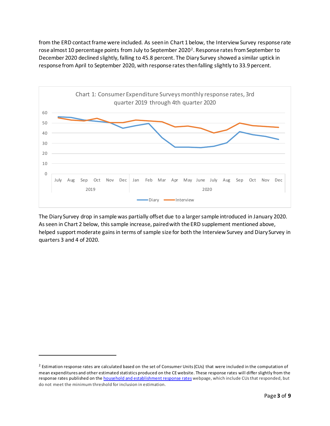from the ERD contact frame were included. As seen in Chart 1 below, the Interview Survey response rate rose almost 10 percentage points from July to September [2](#page-2-0)020<sup>2</sup>. Response rates from September to December 2020 declined slightly, falling to 45.8 percent. The Diary Survey showed a similar uptick in response from April to September 2020, with response ratesthen falling slightly to 33.9 percent.



The Diary Survey drop in sample was partially offset due to a larger sample introduced in January 2020. As seen in Chart 2 below, this sample increase, paired with the ERD supplement mentioned above, helped support moderate gains in terms of sample size for both the Interview Survey and Diary Survey in quarters 3 and 4 of 2020.

<span id="page-2-0"></span><sup>&</sup>lt;sup>2</sup> Estimation response rates are calculated based on the set of Consumer Units (CUs) that were included in the computation of mean expenditures and other estimated statistics produced on the CE website. These response rates will differ slightly from the response rates published on the **household and establishment response rates** webpage, which include CUs that responded, but do not meet the minimum threshold for inclusion in estimation.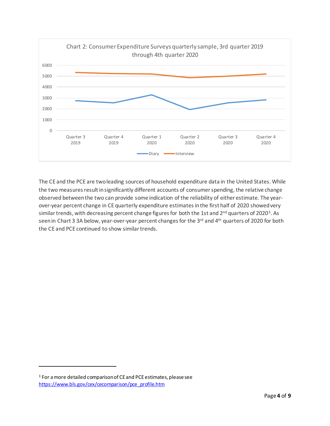

The CE and the PCE are two leading sources of household expenditure data in the United States. While the two measures result in significantly different accounts of consumer spending, the relative change observed between the two can provide some indication of the reliability of either estimate. The yearover-year percent change in CE quarterly expenditure estimates in the first half of 2020 showed very similar trends, with decreasing percent change figures for both the 1st and 2<sup>nd</sup> quarters of 2020<sup>[3](#page-3-0)</sup>. As seen in Chart 3 3A below, year-over-year percent changes for the 3rd and 4th quarters of 2020 for both the CE and PCE continued to show similar trends.

<span id="page-3-0"></span><sup>&</sup>lt;sup>3</sup> For a more detailed comparison of CE and PCE estimates, please see [https://www.bls.gov/cex/cecomparison/pce\\_profile.htm](https://www.bls.gov/cex/cecomparison/pce_profile.htm)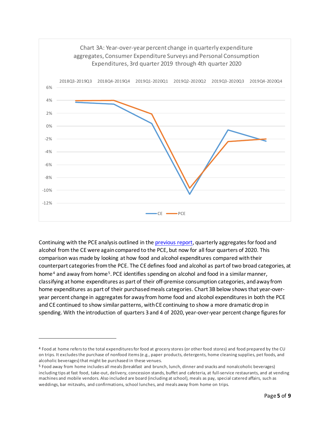

Continuing with the PCE analysis outlined in the [previous report,](https://www.bls.gov/cex/research_papers/pdf/impact-of-covid-19-on-ce-survey-estimates.pdf) quarterly aggregates for food and alcohol from the CE were again compared to the PCE, but now for all four quarters of 2020. This comparison was made by looking at how food and alcohol expenditures compared with their counterpart categories from the PCE. The CE defines food and alcohol as part of two broad categories, at home<sup>[4](#page-4-0)</sup> and away from home<sup>[5](#page-4-1)</sup>. PCE identifies spending on alcohol and food in a similar manner, classifying at home expenditures as part of their off-premise consumption categories, and away from home expenditures as part of their purchased meals categories. Chart 3B below shows that year-overyear percent change in aggregates for away from home food and alcohol expenditures in both the PCE and CE continued to show similar patterns, with CE continuing to show a more dramatic drop in spending. With the introduction of quarters 3 and 4 of 2020, year-over-year percent change figures for

<span id="page-4-0"></span><sup>4</sup> Food at home refers to the total expenditures for food at grocery stores (or other food stores) and food prepared by the CU on trips. It excludes the purchase of nonfood items(e.g., paper products, detergents, home cleaning supplies, pet foods, and alcoholic beverages) that might be purchased in these venues.

<span id="page-4-1"></span><sup>5</sup> Food away from home includes all meals (breakfast and brunch, lunch, dinner and snacks and nonalcoholic beverages) including tips at fast food, take-out, delivery, concession stands, buffet and cafeteria, at full-service restaurants, and at vending machines and mobile vendors. Also included are board (including at school), meals as pay, special catered affairs, such as weddings, bar mitzvahs, and confirmations, school lunches, and meals away from home on trips.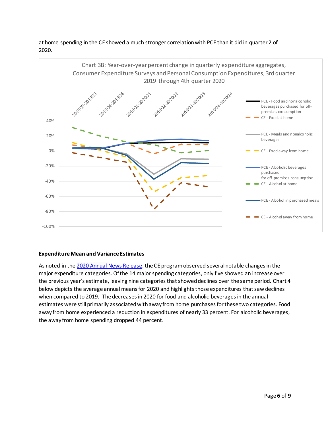

at home spending in the CE showed a much stronger correlationwith PCE than it did in quarter 2 of 2020.

## **Expenditure Mean and Variance Estimates**

As noted in the 2020 Annual [News Release,](https://www.bls.gov/news.release/cesan.nr0.htm) the CE program observed several notable changes in the major expenditure categories. Of the 14 major spending categories, only five showed an increase over the previous year's estimate, leaving nine categories that showed declines over the same period. Chart 4 below depicts the average annualmeans for 2020 and highlights those expenditures that saw declines when compared to 2019. The decreases in 2020 for food and alcoholic beveragesin the annual estimates were still primarily associated with away from home purchases for these two categories. Food away from home experienced a reduction in expenditures of nearly 33 percent. For alcoholic beverages, the away from home spending dropped 44 percent.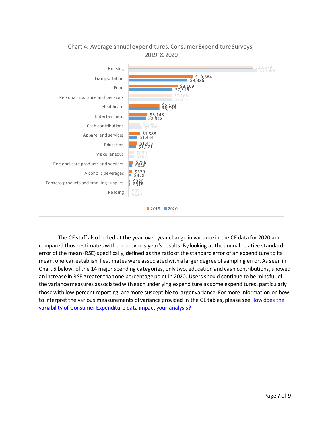

The CE staff also looked at the year-over-year change in variance in the CE data for 2020 and compared those estimates with the previous year'sresults. By looking at the annual relative standard error of the mean (RSE) specifically, defined as the ratio of the standard error of an expenditure to its mean, one can establish if estimates were associated with a larger degree of sampling error. As seen in Chart 5 below, of the 14 major spending categories, only two, education and cash contributions, showed an increase in RSE greater than one percentage point in 2020. Users should continue to be mindful of the variance measures associated with each underlying expenditure assome expenditures, particularly those with low percent reporting, are more susceptible to larger variance. For more information on how to interpret the various measurements of variance provided in the CE tables, please see How does the [variability of Consumer Expenditure data impact your analysis?](https://www.bls.gov/cex/research_papers/pdf/how-does-the-variability-of-consumer-expenditure-data-impact-your-analysis.pdf)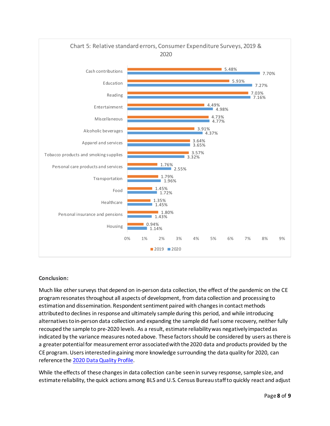

## **Conclusion:**

Much like other surveys that depend on in-person data collection, the effect of the pandemic on the CE program resonatesthroughout all aspects of development, from data collection and processing to estimation and dissemination. Respondent sentiment paired with changes in contact methods attributed to declines in response and ultimately sample during this period, and while introducing alternatives to in-person data collection and expanding the sample did fuel some recovery, neither fully recouped the sample to pre-2020 levels. As a result, estimate reliability was negatively impacted as indicated by the variance measures noted above. These factors should be considered by users as there is a greater potential for measurement error associated with the 2020 data and products provided by the CE program. Users interested in gaining more knowledge surrounding the data quality for 2020, can reference the [2020 Data Quality Profile.](https://www.bls.gov/cex/dqreport-annual-2020.pdf)

While the effects of these changes in data collection can be seen in survey response, sample size, and estimate reliability, the quick actions among BLS and U.S. Census Bureau staff to quickly react and adjust